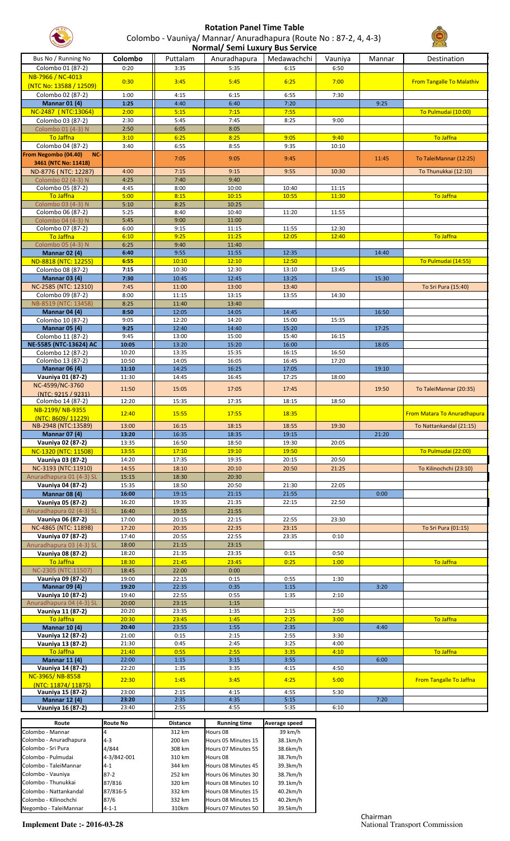

## **Rotation Panel Time Table** Colombo - Vauniya/ Mannar/ Anuradhapura (Route No : 87-2, 4, 4-3) **Normal/ Semi Luxury Bus Service**



| Bus No / Running No                            |                     |                 |                                            | Normal/ Semi Luxury Bus Service |         |        |                                  |
|------------------------------------------------|---------------------|-----------------|--------------------------------------------|---------------------------------|---------|--------|----------------------------------|
|                                                | Colombo             | Puttalam        | Anuradhapura                               | Medawachchi                     | Vauniya | Mannar | Destination                      |
| Colombo 01 (87-2)                              | 0:20                | 3:35            | 5:35                                       | 6:15                            | 6:50    |        |                                  |
|                                                |                     |                 |                                            |                                 |         |        |                                  |
| NB-7966 / NC-4013                              | 0:30                | 3:45            | 5:45                                       | 6:25                            | 7:00    |        | <b>From Tangalle To Malathiv</b> |
| (NTC No: 13588 / 12509)                        |                     |                 |                                            |                                 |         |        |                                  |
| Colombo 02 (87-2)                              | 1:00                | 4:15            | 6:15                                       | 6:55                            | 7:30    |        |                                  |
| <b>Mannar 01 (4)</b>                           | 1:25                | 4:40            | 6:40                                       | 7:20                            |         | 9:25   |                                  |
|                                                |                     |                 |                                            |                                 |         |        |                                  |
| NC-2487 (NTC:13064)                            | 2:00                | 5:15            | 7:15                                       | 7:55                            |         |        | To Pulmudai (10:00)              |
| Colombo 03 (87-2)                              | 2:30                | 5:45            | 7:45                                       | 8:25                            | 9:00    |        |                                  |
| Colombo 01 (4-3) N                             | 2:50                | 6:05            | 8:05                                       |                                 |         |        |                                  |
| To Jaffna                                      | 3:10                | 6:25            | 8:25                                       | 9:05                            | 9:40    |        | To Jaffna                        |
| Colombo 04 (87-2)                              | 3:40                | 6:55            | 8:55                                       | 9:35                            | 10:10   |        |                                  |
| From Negombo (04.40)<br>NC-                    |                     |                 |                                            |                                 |         |        |                                  |
| 3461 (NTC No: 11418)                           |                     | 7:05            | 9:05                                       | 9:45                            |         | 11:45  | To TaleiMannar (12:25)           |
|                                                |                     |                 |                                            |                                 |         |        |                                  |
| ND-8776 (NTC: 12287)                           | 4:00                | 7:15            | 9:15                                       | 9:55                            | 10:30   |        | To Thunukkai (12:10)             |
| Colombo 02 (4-3) N                             | 4:25                | 7:40            | 9:40                                       |                                 |         |        |                                  |
| Colombo 05 (87-2)                              | 4:45                | 8:00            | 10:00                                      | 10:40                           | 11:15   |        |                                  |
| To Jaffna                                      | 5:00                | 8:15            | 10:15                                      | 10:55                           | 11:30   |        | To Jaffna                        |
| Colombo 03 (4-3) N                             | 5:10                | 8:25            | 10:25                                      |                                 |         |        |                                  |
| Colombo 06 (87-2)                              | 5:25                | 8:40            | 10:40                                      | 11:20                           | 11:55   |        |                                  |
| Colombo 04 (4-3) N                             | 5:45                | 9:00            | 11:00                                      |                                 |         |        |                                  |
| Colombo 07 (87-2)                              | 6:00                | 9:15            | 11:15                                      | 11:55                           | 12:30   |        |                                  |
|                                                |                     |                 |                                            |                                 |         |        |                                  |
| To Jaffna                                      | 6:10                | 9:25            | 11:25                                      | 12:05                           | 12:40   |        | To Jaffna                        |
| Colombo 05 (4-3) N                             | 6:25                | 9:40            | 11:40                                      |                                 |         |        |                                  |
| <b>Mannar 02 (4)</b>                           | 6:40                | 9:55            | 11:55                                      | 12:35                           |         | 14:40  |                                  |
| ND-8818 (NTC: 12255)                           | 6:55                | 10:10           | 12:10                                      | 12:50                           |         |        | To Pulmudai (14:55)              |
| Colombo 08 (87-2)                              | 7:15                | 10:30           | 12:30                                      | 13:10                           | 13:45   |        |                                  |
| <b>Mannar 03 (4)</b>                           | 7:30                | 10:45           | 12:45                                      | 13:25                           |         | 15:30  |                                  |
| NC-2585 (NTC: 12310)                           |                     |                 |                                            |                                 |         |        |                                  |
|                                                | 7:45                | 11:00           | 13:00                                      | 13:40                           |         |        | To Sri Pura (15:40)              |
| Colombo 09 (87-2)                              | 8:00                | 11:15           | 13:15                                      | 13:55                           | 14:30   |        |                                  |
| NB-8519 (NTC: 13458)                           | 8:25                | 11:40           | 13:40                                      |                                 |         |        |                                  |
| <b>Mannar 04 (4)</b>                           | 8:50                | 12:05           | 14:05                                      | 14:45                           |         | 16:50  |                                  |
| Colombo 10 (87-2)                              | 9:05                | 12:20           | 14:20                                      | 15:00                           | 15:35   |        |                                  |
| <b>Mannar 05 (4)</b>                           | 9:25                | 12:40           | 14:40                                      | 15:20                           |         | 17:25  |                                  |
| Colombo 11 (87-2)                              | 9:45                | 13:00           | 15:00                                      | 15:40                           | 16:15   |        |                                  |
| NE-5585 (NTC-13624) AC                         | 10:05               | 13:20           | 15:20                                      | 16:00                           |         | 18:05  |                                  |
|                                                |                     |                 |                                            |                                 |         |        |                                  |
| Colombo 12 (87-2)                              | 10:20               | 13:35           | 15:35                                      | 16:15                           | 16:50   |        |                                  |
| Colombo 13 (87-2)                              | 10:50               | 14:05           | 16:05                                      | 16:45                           | 17:20   |        |                                  |
| <b>Mannar 06 (4)</b>                           | 11:10               | 14:25           | 16:25                                      | 17:05                           |         | 19:10  |                                  |
| Vauniya 01 (87-2)                              | 11:30               | 14:45           | 16:45                                      | 17:25                           | 18:00   |        |                                  |
| NC-4599/NC-3760                                |                     |                 |                                            |                                 |         |        |                                  |
| (NTC: 9215 / 9231)                             | 11:50               | 15:05           | 17:05                                      | 17:45                           |         | 19:50  | To TaleiMannar (20:35)           |
| Colombo 14 (87-2)                              | 12:20               | 15:35           | 17:35                                      | 18:15                           | 18:50   |        |                                  |
|                                                |                     |                 |                                            |                                 |         |        |                                  |
| NB-2199/NB-9355                                | 12:40               | 15:55           | 17:55                                      | 18:35                           |         |        | From Matara To Anuradhapura      |
| (NTC: 8609/11229)                              |                     |                 |                                            |                                 |         |        |                                  |
| NB-2948 (NTC:13589)                            | 13:00               | 16:15           | 18:15                                      | 18:55                           | 19:30   |        | To Nattankandal (21:15)          |
| <b>Mannar 07 (4)</b>                           | 13:20               | 16:35           | 18:35                                      | 19:15                           |         | 21:20  |                                  |
| Vauniya 02 (87-2)                              | 13:35               | 16:50           | 18:50                                      | 19:30                           | 20:05   |        |                                  |
| NC-1320 (NTC: 11508)                           | 13:55               | 17:10           | 19:10                                      | 19:50                           |         |        | To Pulmudai (22:00)              |
|                                                |                     |                 |                                            |                                 |         |        |                                  |
| Vauniya 03 (87-2)                              | 14:20               | 17:35           | 19:35                                      | 20:15                           | 20:50   |        |                                  |
| NC-3193 (NTC:11910)                            | 14:55               | 18:10           | 20:10                                      | 20:50                           | 21:25   |        | To Kilinochchi (23:10)           |
| Anuradhapura 01 (4-3) SL                       | 15:15               | 18:30           | 20:30                                      |                                 |         |        |                                  |
| Vauniya 04 (87-2)                              | 15:35               | 18:50           | 20:50                                      | 21:30                           | 22:05   |        |                                  |
| <b>Mannar 08 (4)</b>                           | 16:00               | 19:15           | 21:15                                      | 21:55                           |         | 0:00   |                                  |
|                                                |                     |                 |                                            |                                 |         |        |                                  |
| Vauniya 05 (87-2)                              | 16:20               | 19:35           | 21:35                                      | 22:15                           | 22:50   |        |                                  |
|                                                |                     |                 | 21:55                                      |                                 |         |        |                                  |
| Anuradhapura 02 (4-3) SL                       | 16:40               | 19:55           |                                            |                                 |         |        |                                  |
| Vauniya 06 (87-2)                              | 17:00               | 20:15           | 22:15                                      | 22:55                           | 23:30   |        |                                  |
| NC-4865 (NTC: 11898)                           | 17:20               | 20:35           | 22:35                                      | 23:15                           |         |        | To Sri Pura (01:15)              |
|                                                |                     | 20:55           |                                            | 23:35                           | 0:10    |        |                                  |
| Vauniya 07 (87-2)                              | 17:40               |                 | 22:55                                      |                                 |         |        |                                  |
| Anuradhapura 03 (4-3) SL                       | 18:00               | 21:15           | 23:15                                      |                                 |         |        |                                  |
| Vauniya 08 (87-2)                              | 18:20               | 21:35           | 23:35                                      | 0:15                            | 0:50    |        |                                  |
| <b>To Jaffna</b>                               | 18:30               | 21:45           | 23:45                                      | 0:25                            | 1:00    |        | To Jaffna                        |
| NC-2305 (NTC:11507)                            | 18:45               | 22:00           | 0:00                                       |                                 |         |        |                                  |
| Vauniya 09 (87-2)                              | 19:00               | 22:15           | 0:15                                       | 0:55                            | 1:30    |        |                                  |
| <b>Mannar 09 (4)</b>                           | 19:20               | 22:35           | 0:35                                       | 1:15                            |         | 3:20   |                                  |
| Vauniya 10 (87-2)                              | 19:40               | 22:55           | 0:55                                       | 1:35                            | 2:10    |        |                                  |
|                                                |                     |                 |                                            |                                 |         |        |                                  |
| Anuradhapura 04 (4-3) SL                       | 20:00               | 23:15           | 1:15                                       |                                 |         |        |                                  |
| Vauniya 11 (87-2)                              | 20:20               | 23:35           | 1:35                                       | 2:15                            | 2:50    |        |                                  |
| To Jaffna                                      | 20:30               | 23:45           | 1:45                                       | 2:25                            | 3:00    |        | To Jaffna                        |
| <b>Mannar 10 (4)</b>                           | 20:40               | 23:55           | 1:55                                       | 2:35                            |         | 4:40   |                                  |
| Vauniya 12 (87-2)                              | 21:00               | 0:15            | 2:15                                       | 2:55                            | 3:30    |        |                                  |
| Vauniya 13 (87-2)                              | 21:30               | 0:45            | 2:45                                       | 3:25                            | 4:00    |        |                                  |
| To Jaffna                                      | 21:40               | 0:55            | 2:55                                       | 3:35                            | 4:10    |        | To Jaffna                        |
| <b>Mannar 11 (4)</b>                           | 22:00               | 1:15            | 3:15                                       | 3:55                            |         | 6:00   |                                  |
| Vauniya 14 (87-2)                              | 22:20               | 1:35            | 3:35                                       | 4:15                            | 4:50    |        |                                  |
|                                                |                     |                 |                                            |                                 |         |        |                                  |
| NC-3965/NB-8558                                | 22:30               | 1:45            | 3:45                                       | 4:25                            | 5:00    |        | <b>From Tangalle To Jaffna</b>   |
| (NTC: 11874/11875)                             |                     |                 |                                            |                                 |         |        |                                  |
| Vauniya 15 (87-2)                              | 23:00               | 2:15            | 4:15                                       | 4:55                            | 5:30    |        |                                  |
| <b>Mannar 12 (4)</b>                           | 23:20               | 2:35            | 4:35                                       | 5:15                            |         | 7:20   |                                  |
| Vauniya 16 (87-2)                              | 23:40               | 2:55            | 4:55                                       | 5:35                            | 6:10    |        |                                  |
|                                                |                     |                 |                                            |                                 |         |        |                                  |
| Route                                          | <b>Route No</b>     | <b>Distance</b> | <b>Running time</b>                        | Average speed                   |         |        |                                  |
| Colombo - Mannar                               | $\overline{a}$      | 312 km          | Hours 08                                   | 39 km/h                         |         |        |                                  |
| Colombo - Anuradhapura                         | $4 - 3$             | 200 km          | Hours 05 Minutes 15                        | 38.1km/h                        |         |        |                                  |
| Colombo - Sri Pura                             | 4/844               | 308 km          | Hours 07 Minutes 55                        | 38.6km/h                        |         |        |                                  |
| Colombo - Pulmudai                             | 4-3/842-001         | 310 km          | Hours 08                                   | 38.7km/h                        |         |        |                                  |
| Colombo - TaleiMannar                          | $4 - 1$             | 344 km          | Hours 08 Minutes 45                        | 39.3km/h                        |         |        |                                  |
|                                                |                     |                 |                                            |                                 |         |        |                                  |
| Colombo - Vauniya                              | $87 - 2$            | 252 km          | Hours 06 Minutes 30                        | 38.7km/h                        |         |        |                                  |
| Colombo - Thunukkai                            | 87/816              | 320 km          | Hours 08 Minutes 10                        | 39.1km/h                        |         |        |                                  |
| Colombo - Nattankandal                         | 87/816-5            | 332 km          | Hours 08 Minutes 15                        | 40.2km/h                        |         |        |                                  |
| Colombo - Kilinochchi<br>Negombo - TaleiMannar | 87/6<br>$4 - 1 - 1$ | 332 km<br>310km | Hours 08 Minutes 15<br>Hours 07 Minutes 50 | 40.2km/h<br>39.5km/h            |         |        |                                  |